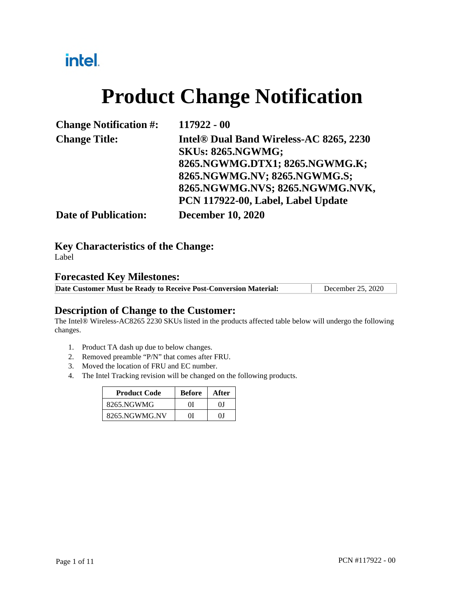# intel.

# **Product Change Notification**

| <b>Change Notification #:</b> | 117922 - 00                                         |
|-------------------------------|-----------------------------------------------------|
| <b>Change Title:</b>          | Intel <sup>®</sup> Dual Band Wireless-AC 8265, 2230 |
|                               | <b>SKUs: 8265.NGWMG;</b>                            |
|                               | 8265.NGWMG.DTX1; 8265.NGWMG.K;                      |
|                               | 8265.NGWMG.NV; 8265.NGWMG.S;                        |
|                               | 8265.NGWMG.NVS; 8265.NGWMG.NVK,                     |
|                               | PCN 117922-00, Label, Label Update                  |
| <b>Date of Publication:</b>   | <b>December 10, 2020</b>                            |

**Key Characteristics of the Change:**

Label

#### **Forecasted Key Milestones:**

| Date Customer Must be Ready to Receive Post-Conversion Material: | December 25, 2020 |
|------------------------------------------------------------------|-------------------|
|------------------------------------------------------------------|-------------------|

### **Description of Change to the Customer:**

The Intel® Wireless-AC8265 2230 SKUs listed in the products affected table below will undergo the following changes.

- 1. Product TA dash up due to below changes.
- 2. Removed preamble "P/N" that comes after FRU.
- 3. Moved the location of FRU and EC number.
- 4. The Intel Tracking revision will be changed on the following products.

| <b>Product Code</b> | <b>Before</b> | After |
|---------------------|---------------|-------|
| 8265.NGWMG          | ΩI            | ΩI    |
| 8265.NGWMG.NV       | ОI            | OΙ    |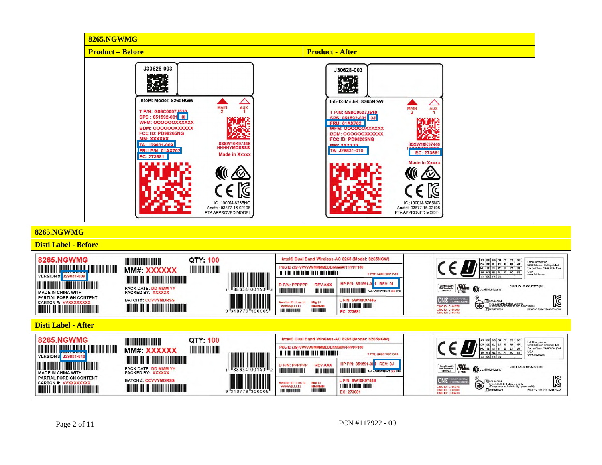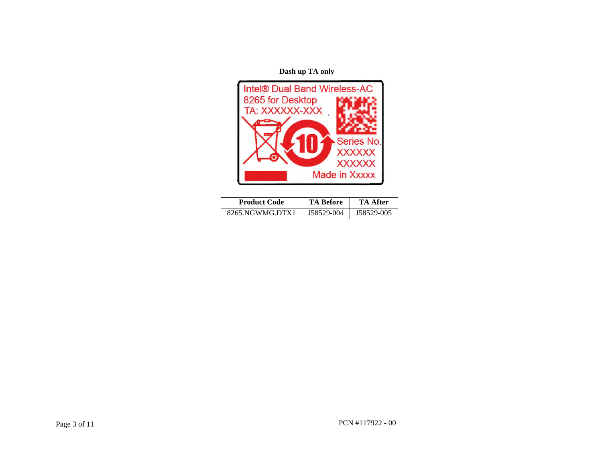**Dash up TA only** 



| <b>Product Code</b> | TA Before  | TA After   |
|---------------------|------------|------------|
| 8265.NGWMG.DTX1     | J58529-004 | J58529-005 |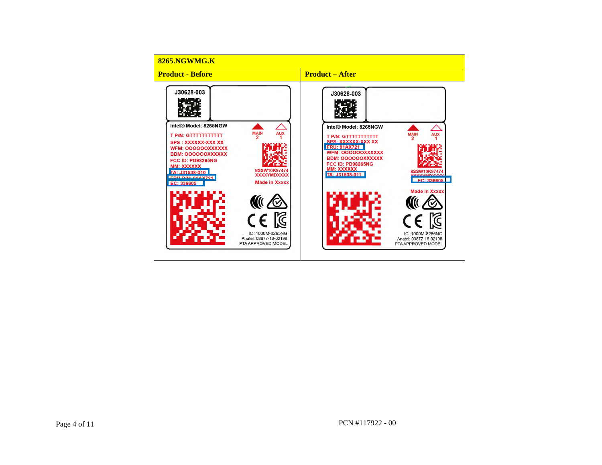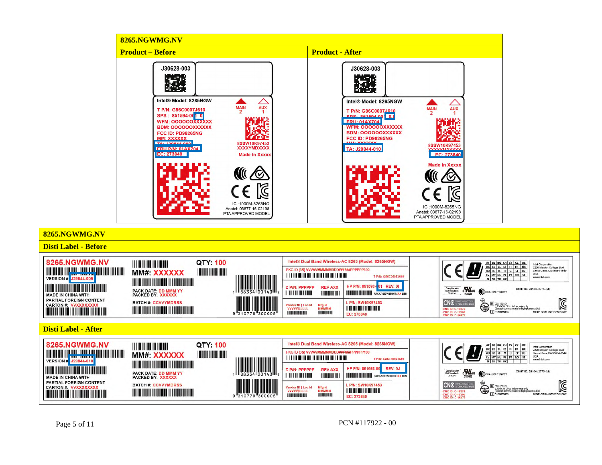

Page 5 of 11 PCN #117922 - 00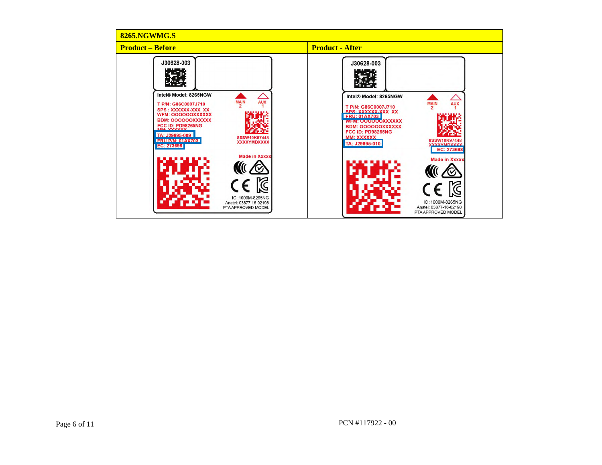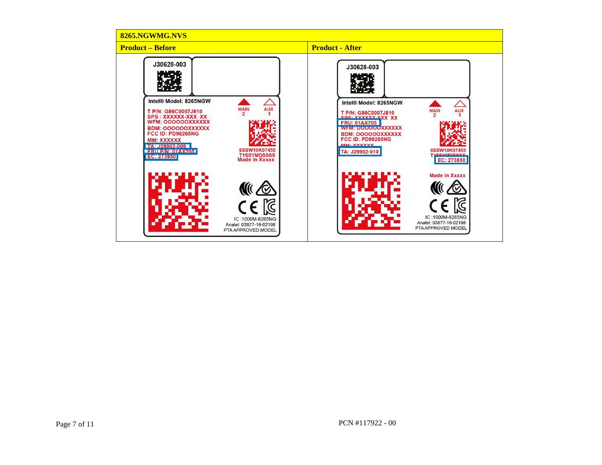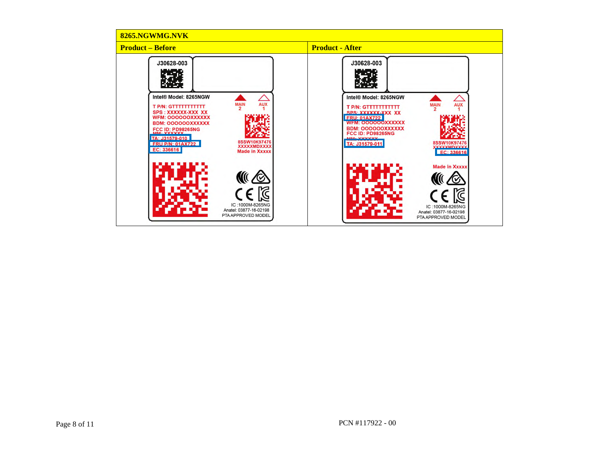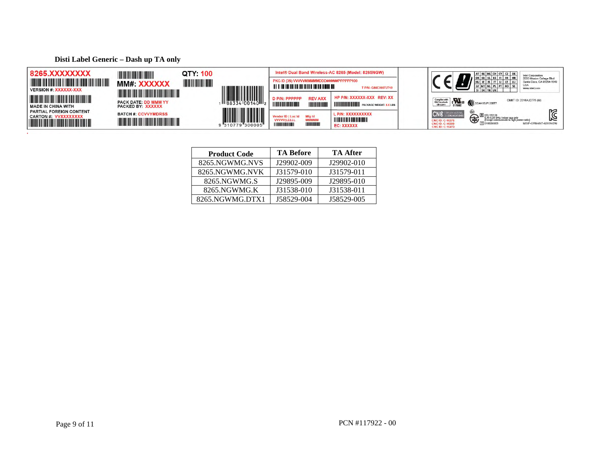**Disti Label Generic – Dash up TA only** 



| <b>Product Code</b> | <b>TA Before</b> | <b>TA After</b> |
|---------------------|------------------|-----------------|
| 8265.NGWMG.NVS      | J29902-009       | J29902-010      |
| 8265.NGWMG.NVK      | J31579-010       | J31579-011      |
| 8265.NGWMG.S        | J29895-009       | J29895-010      |
| 8265.NGWMG.K        | J31538-010       | J31538-011      |
| 8265.NGWMG.DTX1     | J58529-004       | J58529-005      |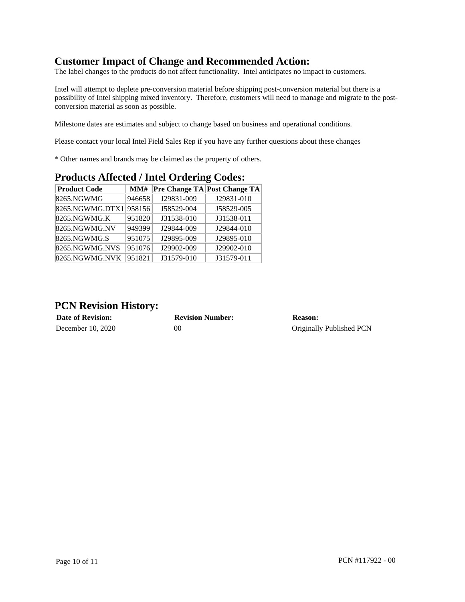## **Customer Impact of Change and Recommended Action:**

The label changes to the products do not affect functionality. Intel anticipates no impact to customers.

Intel will attempt to deplete pre-conversion material before shipping post-conversion material but there is a possibility of Intel shipping mixed inventory. Therefore, customers will need to manage and migrate to the postconversion material as soon as possible.

Milestone dates are estimates and subject to change based on business and operational conditions.

Please contact your local Intel Field Sales Rep if you have any further questions about these changes

\* Other names and brands may be claimed as the property of others.

| <b>Product Code</b> | MM#    |            | Pre Change TA Post Change TA |
|---------------------|--------|------------|------------------------------|
| 8265.NGWMG          | 946658 | J29831-009 | J29831-010                   |
| $8265.$ NGWMG.DTX1  | 958156 | J58529-004 | J58529-005                   |
| 8265.NGWMG.K        | 951820 | J31538-010 | J31538-011                   |
| 8265.NGWMG.NV       | 949399 | J29844-009 | J29844-010                   |
| 8265.NGWMG.S        | 951075 | J29895-009 | J29895-010                   |
| 8265.NGWMG.NVS      | 951076 | J29902-009 | J29902-010                   |
| 8265.NGWMG.NVK      | 951821 | J31579-010 | J31579-011                   |

### **Products Affected / Intel Ordering Codes:**

#### **PCN Revision History:**

| <b>Date of Revision:</b> | <b>Revision Number:</b> | <b>Reason:</b>           |
|--------------------------|-------------------------|--------------------------|
| December 10, 2020        | 00                      | Originally Published PCN |